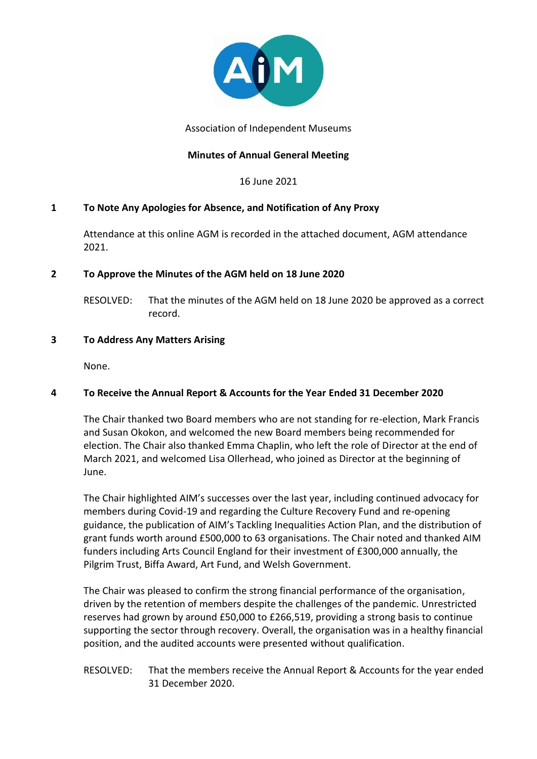

Association of Independent Museums

## **Minutes of Annual General Meeting**

16 June 2021

### **1 To Note Any Apologies for Absence, and Notification of Any Proxy**

Attendance at this online AGM is recorded in the attached document, AGM attendance 2021.

### **2 To Approve the Minutes of the AGM held on 18 June 2020**

RESOLVED: That the minutes of the AGM held on 18 June 2020 be approved as a correct record.

### **3 To Address Any Matters Arising**

None.

# **4 To Receive the Annual Report & Accounts for the Year Ended 31 December 2020**

The Chair thanked two Board members who are not standing for re-election, Mark Francis and Susan Okokon, and welcomed the new Board members being recommended for election. The Chair also thanked Emma Chaplin, who left the role of Director at the end of March 2021, and welcomed Lisa Ollerhead, who joined as Director at the beginning of June.

The Chair highlighted AIM's successes over the last year, including continued advocacy for members during Covid-19 and regarding the Culture Recovery Fund and re-opening guidance, the publication of AIM's Tackling Inequalities Action Plan, and the distribution of grant funds worth around £500,000 to 63 organisations. The Chair noted and thanked AIM funders including Arts Council England for their investment of £300,000 annually, the Pilgrim Trust, Biffa Award, Art Fund, and Welsh Government.

The Chair was pleased to confirm the strong financial performance of the organisation, driven by the retention of members despite the challenges of the pandemic. Unrestricted reserves had grown by around £50,000 to £266,519, providing a strong basis to continue supporting the sector through recovery. Overall, the organisation was in a healthy financial position, and the audited accounts were presented without qualification.

### RESOLVED: That the members receive the Annual Report & Accounts for the year ended 31 December 2020.